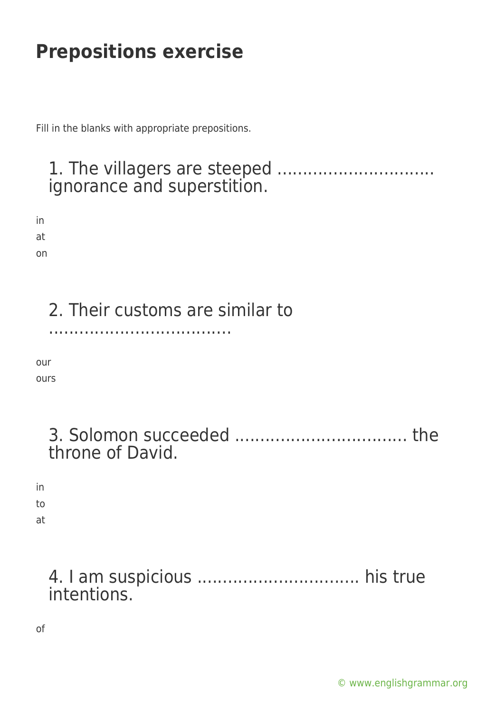Fill in the blanks with appropriate prepositions.

### 1. The villagers are steeped ............................... ignorance and superstition.

in at on

2. Their customs are similar to

....................................

our

ours

| throne of David. |  |
|------------------|--|

in to

at

### 4. I am suspicious ................................ his true intentions.

of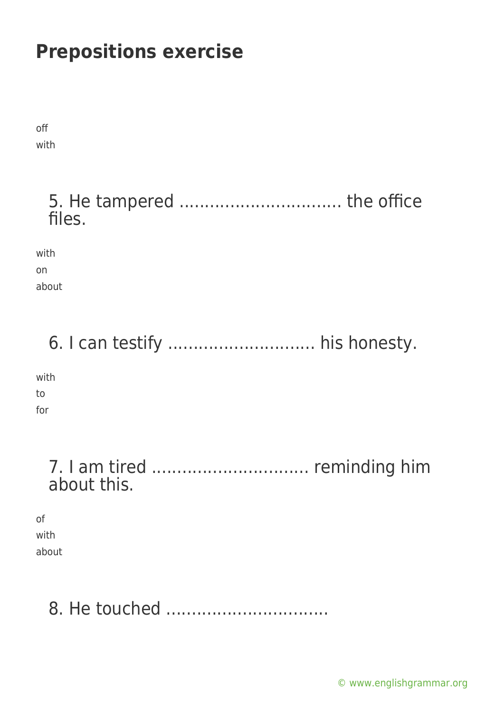off with

### 5. He tampered ................................ the office files.

with on

about

## 6. I can testify ............................. his honesty.

with to

for

### 7. I am tired ............................... reminding him about this.

of with about

# 8. He touched ................................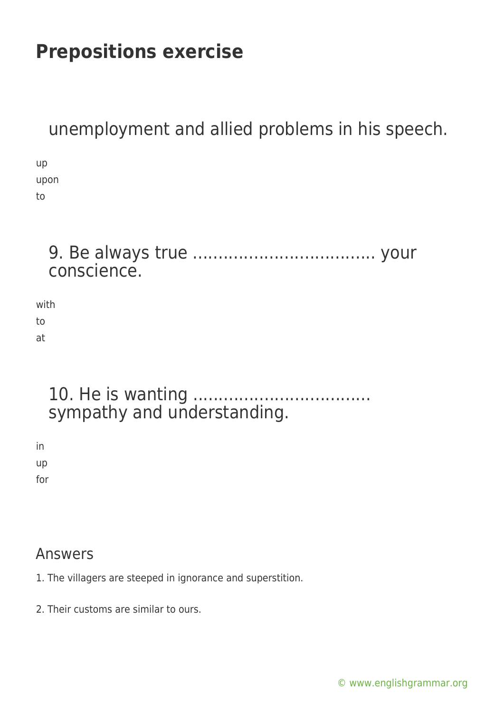unemployment and allied problems in his speech.

up upon to

### 9. Be always true .................................... your conscience.

with to at

### 10. He is wanting ................................... sympathy and understanding.

in up for

#### Answers

- 1. The villagers are steeped in ignorance and superstition.
- 2. Their customs are similar to ours.